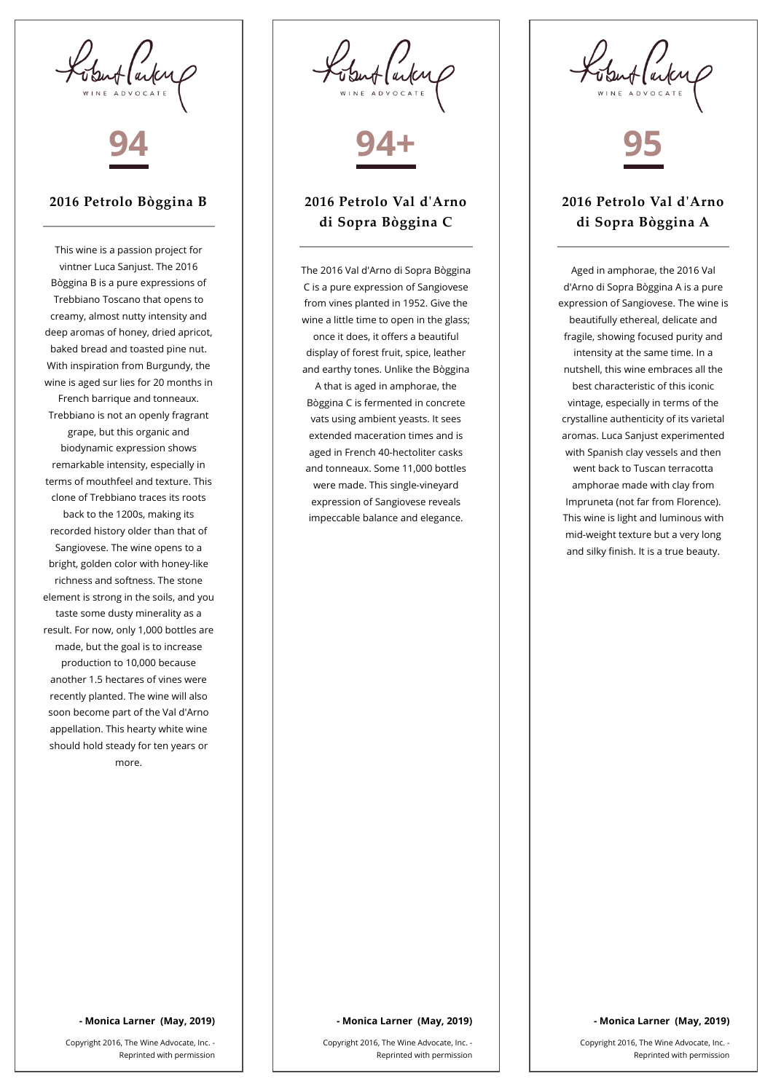Kobert (arten



## **2016 Petrolo Bòggina B**

This wine is a passion project for vintner Luca Sanjust. The 2016 Bòggina B is a pure expressions of Trebbiano Toscano that opens to creamy, almost nutty intensity and deep aromas of honey, dried apricot, baked bread and toasted pine nut. With inspiration from Burgundy, the wine is aged sur lies for 20 months in French barrique and tonneaux. Trebbiano is not an openly fragrant grape, but this organic and biodynamic expression shows remarkable intensity, especially in terms of mouthfeel and texture. This clone of Trebbiano traces its roots back to the 1200s, making its recorded history older than that of Sangiovese. The wine opens to a bright, golden color with honey-like richness and softness. The stone element is strong in the soils, and you taste some dusty minerality as a result. For now, only 1,000 bottles are made, but the goal is to increase production to 10,000 because another 1.5 hectares of vines were recently planted. The wine will also soon become part of the Val d'Arno appellation. This hearty white wine should hold steady for ten years or more.

Ventfaiter



## **2016 Petrolo Val d'Arno di Sopra Bòggina C**

The 2016 Val d'Arno di Sopra Bòggina C is a pure expression of Sangiovese from vines planted in 1952. Give the wine a little time to open in the glass; once it does, it offers a beautiful display of forest fruit, spice, leather and earthy tones. Unlike the Bòggina A that is aged in amphorae, the Bòggina C is fermented in concrete vats using ambient yeasts. It sees extended maceration times and is aged in French 40-hectoliter casks and tonneaux. Some 11,000 bottles were made. This single-vineyard expression of Sangiovese reveals impeccable balance and elegance.



# **2016 Petrolo Val d'Arno di Sopra Bòggina A**

Aged in amphorae, the 2016 Val d'Arno di Sopra Bòggina A is a pure expression of Sangiovese. The wine is beautifully ethereal, delicate and fragile, showing focused purity and intensity at the same time. In a nutshell, this wine embraces all the best characteristic of this iconic vintage, especially in terms of the crystalline authenticity of its varietal aromas. Luca Sanjust experimented with Spanish clay vessels and then went back to Tuscan terracotta amphorae made with clay from Impruneta (not far from Florence). This wine is light and luminous with mid-weight texture but a very long and silky finish. It is a true beauty.

### **- Monica Larner (May, 2019)**

Copyright 2016, The Wine Advocate, Inc. - Reprinted with permission

#### **- Monica Larner (May, 2019)**

Copyright 2016, The Wine Advocate, Inc. - Reprinted with permission

## **- Monica Larner (May, 2019)**

Copyright 2016, The Wine Advocate, Inc. - Reprinted with permission